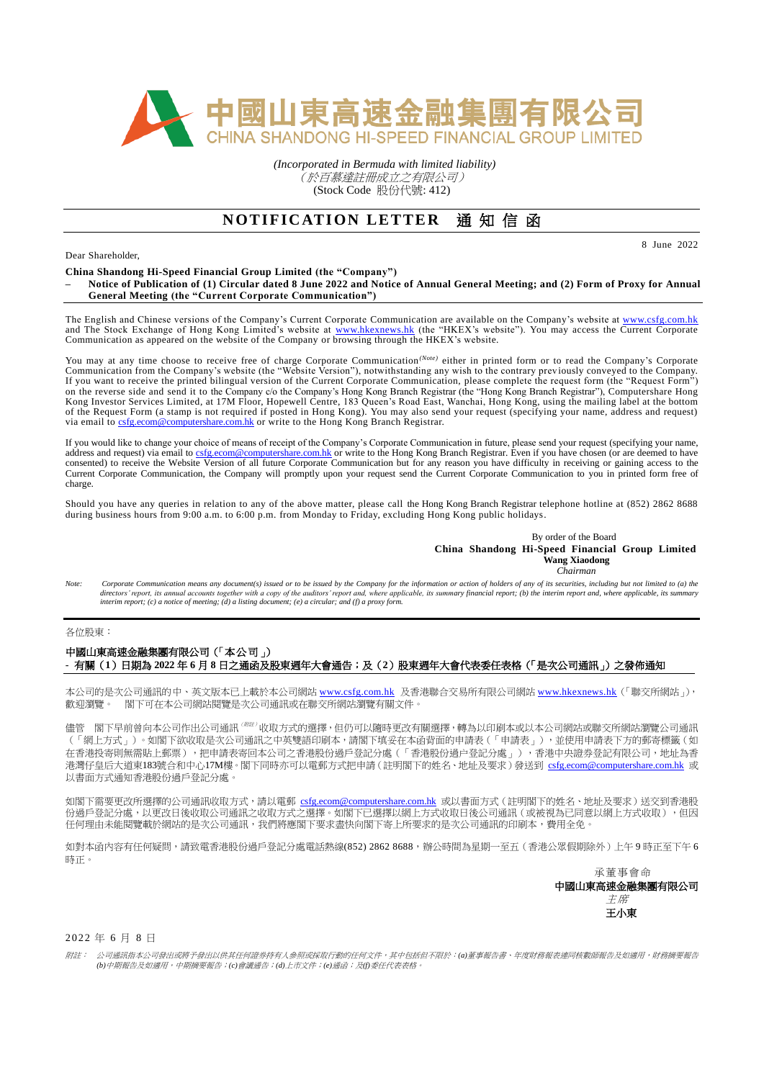

*(Incorporated in Bermuda with limited liability)* (於百慕達註冊成立之有限公司) (Stock Code 股份代號: 412)

## **NOTIFICATION LETTER** 通知信函

Dear Shareholder,

**China Shandong Hi-Speed Financial Group Limited (the "Company")**

**– Notice of Publication of (1) Circular dated 8 June 2022 and Notice of Annual General Meeting; and (2) Form of Proxy for Annual General Meeting (the "Current Corporate Communication")**

The English and Chinese versions of the Company's Current Corporate Communication are available on the Company's website at [www.csfg.com.hk](http://www.csfg.com.hk/) and The Stock Exchange of Hong Kong Limited's website at [www.hkexnews.hk](http://www.hkexnews.hk/) (the "HKEX's website"). You may access the Current Corporate Communication as appeared on the website of the Company or browsing through the HKEX's website.

You may at any time choose to receive free of charge Corporate Communication<sup>(Note)</sup> either in printed form or to read the Company's Corporate Communication from the Company's website (the "Website Version"), notwithstanding any wish to the contrary previously conveyed to the Company. If you want to receive the printed bilingual version of the Current Corporate Communication, please complete the request form (the "Request Form") on the reverse side and send it to the Company c/o the Company's Hong Kong Branch Registrar (the "Hong Kong Branch Registrar"), Computershare Hong Kong Investor Services Limited, at 17M Floor, Hopewell Centre, 183 Queen's Road East, Wanchai, Hong Kong, using the mailing label at the bottom of the Request Form (a stamp is not required if posted in Hong Kong). You may also send your request (specifying your name, address and request) via email to [csfg.ecom@computershare.com.hk](mailto:csfg.ecom@computershare.com.hk) or write to the Hong Kong Branch Registrar.

If you would like to change your choice of means of receipt of the Company's Corporate Communication in future, please send your request (specifying your name, address and request) via email to  $c_{\text{sg.}e\text{com@complex}hare.com.hk}$  or are.com.hk or write to the Hong Kong Branch Registrar. Even if you have chosen (or are deemed to have consented) to receive the Website Version of all future Corporate Communication but for any reason you have difficulty in receiving or gaining access to the Current Corporate Communication, the Company will promptly upon your request send the Current Corporate Communication to you in printed form free of charge.

Should you have any queries in relation to any of the above matter, please call the Hong Kong Branch Registrar telephone hotline at (852) 2862 8688 during business hours from 9:00 a.m. to 6:00 p.m. from Monday to Friday, excluding Hong Kong public holidays.

> By order of the Board **China Shandong Hi-Speed Financial Group Limited Wang Xiaodong**  *Chairman*

8 June 2022

Note: Corporate Communication means any document(s) issued or to be issued by the Company for the information or action of holders of any of its securities, including but not limited to (a) the directors' report, its annual accounts together with a copy of the auditors' report and, where applicable, its summary financial report; (b) the interim report and, where applicable, its summary<br>interim report; (c) a notic

各位股東:

## 中國山東高速金融集團有限公司(「本公司」) - 有關(**1**)日期為 **2022** 年 **6** 月 **8** 日之通函及股東週年大會通告;及(**2**)股東週年大會代表委任表格(「是次公司通訊」)之發佈通知

本公司的是次公司通訊的中、英文版本已上載於本公司網站 [www.csfg.com.hk](http://www.csfg.com.hk/) 及香港聯合交易所有限公司網站 [www.hkexnews.hk](http://www.hkexnews.hk/) (「聯交所網站」), 歡迎瀏覽。 閣下可在本公司網站閱覽是次公司通訊或在聯交所網站瀏覽有關文件。

儘管 閣下早前曾向本公司作出公司通訊<sup>(##:)</sup>收取方式的選擇,但仍可以隨時更改有關選擇,轉為以印刷本或以本公司網站或聯交所網站瀏覽公司通訊 (「網上方式」)。如閣下欲收取是次公司通訊之中英雙語印刷本,請閣下填妥在本函背面的申請表(「申請表」),並使用申請表下方的郵寄標籤(如 在香港投寄則無需貼上郵票),把申請表寄回本公司之香港股份過戶登記分處(「香港股份過户登記分處」),香港中央證券登記有限公司,地址為香 港灣仔皇后大道東183號合和中心17M樓。閣下同時亦可以電郵方式把申請(註明閣下的姓名、地址及要求)發送到 [csfg.ecom@computershare.com.hk](mailto:csfg.ecom@computershare.com.hk) 或 以書面方式通知香港股份過戶登記分處。

如閣下需要更改所選擇的公司通訊收取方式,請以電郵 [csfg.ecom@computershare.com.hk](mailto:csfg.ecom@computershare.com.hk) 或以書面方式 (註明閣下的姓名、地址及要求)送交到香港股 份過戶登記分處,以更改日後收取公司通訊之收取方式之選擇。如閣下已選擇以網上方式收取日後公司通訊(或被視為已同意以網上方式收取),但因 任何理由未能閱覽載於網站的是次公司通訊,我們將應閣下要求盡快向閣下寄上所要求的是次公司通訊的印刷本,費用全免。

如對本函內容有任何疑問,請致電香港股份過戶登記分處電話熱線(852) 2862 8688,辦公時間為星期一至五(香港公眾假期除外)上午9時正至下午6 時正。

> 承董事會命 中國山東高速金融集團有限公司 主席 王小東

2 0 2 2 年 6 月 8 日

附註:公司通訊指本公司發出或將予發出以供其任何證券持有人參照或採取行動的任何文件,其中包括但不限於:*(a)*董事報告書、年度財務報表連同核數師報告及如適用,財務摘要報告 *(b)*中期報告及如適用,中期摘要報告;*(c)*會議通告;*(d)*上市文件;*(e)*通函;及*(f)*委任代表表格。